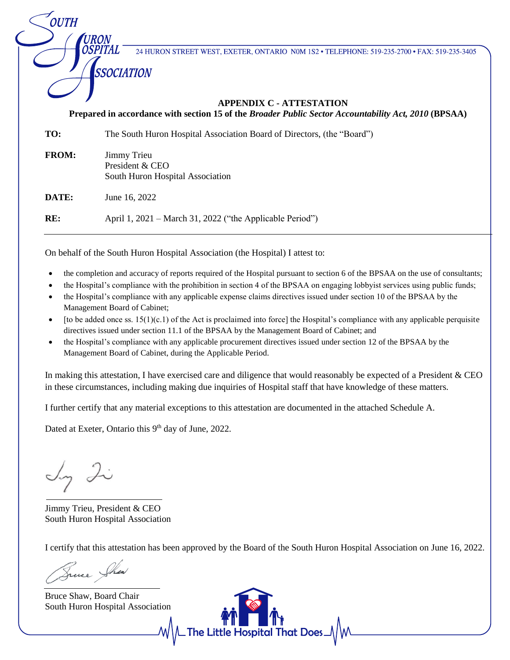24 HURON STREET WEST, EXETER, ONTARIO N0M 1S2 · TELEPHONE: 519-235-2700 · FAX: 519-235-3405

## **APPENDIX C - ATTESTATION Prepared in accordance with section 15 of the** *Broader Public Sector Accountability Act, 2010* **(BPSAA)**

| TO:          | The South Huron Hospital Association Board of Directors, (the "Board") |
|--------------|------------------------------------------------------------------------|
| <b>FROM:</b> | Jimmy Trieu<br>President & CEO<br>South Huron Hospital Association     |
| DATE:        | June 16, 2022                                                          |
| RE:          | April 1, 2021 – March 31, 2022 ("the Applicable Period")               |

On behalf of the South Huron Hospital Association (the Hospital) I attest to:

- the completion and accuracy of reports required of the Hospital pursuant to section 6 of the BPSAA on the use of consultants;
- the Hospital's compliance with the prohibition in section 4 of the BPSAA on engaging lobbyist services using public funds;
- the Hospital's compliance with any applicable expense claims directives issued under section 10 of the BPSAA by the Management Board of Cabinet;
- [to be added once ss.  $15(1)(c.1)$  of the Act is proclaimed into force] the Hospital's compliance with any applicable perquisite directives issued under section 11.1 of the BPSAA by the Management Board of Cabinet; and
- the Hospital's compliance with any applicable procurement directives issued under section 12 of the BPSAA by the Management Board of Cabinet, during the Applicable Period.

In making this attestation, I have exercised care and diligence that would reasonably be expected of a President & CEO in these circumstances, including making due inquiries of Hospital staff that have knowledge of these matters.

I further certify that any material exceptions to this attestation are documented in the attached Schedule A.

Dated at Exeter, Ontario this 9<sup>th</sup> day of June, 2022.

Ing Li

**OUTH** 

*URON* OSPITAL

SSOCIATION

Jimmy Trieu, President & CEO South Huron Hospital Association

I certify that this attestation has been approved by the Board of the South Huron Hospital Association on June 16, 2022.

Truce Shew

Bruce Shaw, Board Chair South Huron Hospital Association